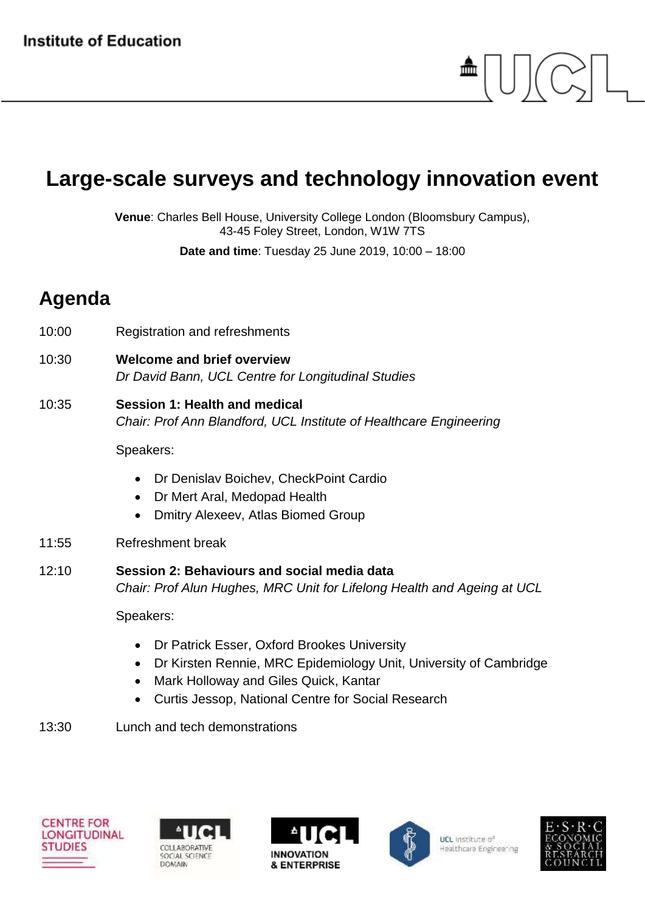## **Large-scale surveys and technology innovation event**

**Venue**: Charles Bell House, University College London (Bloomsbury Campus), 43-45 Foley Street, London, W1W 7TS

**Date and time**: Tuesday 25 June 2019, 10:00 – 18:00

## **Agenda**

- 10:00 Registration and refreshments
- 10:30 **Welcome and brief overview** *Dr David Bann, UCL Centre for Longitudinal Studies*
- 10:35 **Session 1: Health and medical** *Chair: Prof Ann Blandford, UCL Institute of Healthcare Engineering*

Speakers:

- Dr Denislav Boichev, CheckPoint Cardio
- Dr Mert Aral, Medopad Health
- Dmitry Alexeev, Atlas Biomed Group
- 11:55 Refreshment break
- 12:10 **Session 2: Behaviours and social media data** *Chair: Prof Alun Hughes, MRC Unit for Lifelong Health and Ageing at UCL*

Speakers:

- Dr Patrick Esser, Oxford Brookes University
- Dr Kirsten Rennie, MRC Epidemiology Unit, University of Cambridge
- Mark Holloway and Giles Quick, Kantar
- Curtis Jessop, National Centre for Social Research
- 13:30 Lunch and tech demonstrations